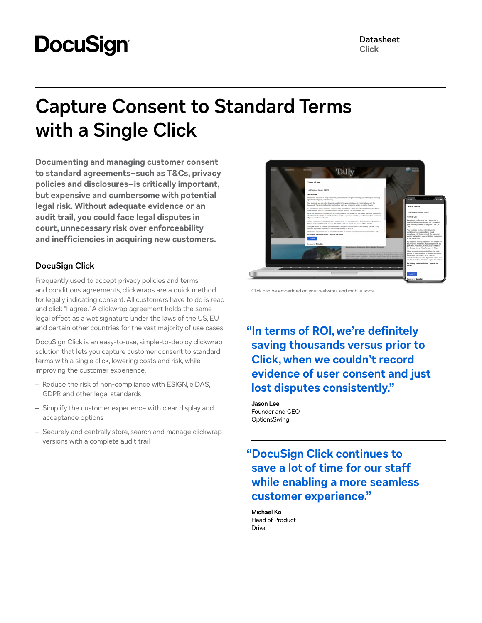# **DocuSign®**

## **Capture Consent to Standard Terms with a Single Click**

**Documenting and managing customer consent to standard agreements–such as T&Cs, privacy policies and disclosures–is critically important, but expensive and cumbersome with potential legal risk. Without adequate evidence or an audit trail, you could face legal disputes in court, unnecessary risk over enforceability and inefficiencies in acquiring new customers.**

### **DocuSign Click**

Frequently used to accept privacy policies and terms and conditions agreements, clickwraps are a quick method for legally indicating consent. All customers have to do is read and click "I agree." A clickwrap agreement holds the same legal effect as a wet signature under the laws of the US, EU and certain other countries for the vast majority of use cases.

DocuSign Click is an easy-to-use, simple-to-deploy clickwrap solution that lets you capture customer consent to standard terms with a single click, lowering costs and risk, while improving the customer experience.

- Reduce the risk of non-compliance with ESIGN, eIDAS, GDPR and other legal standards
- Simplify the customer experience with clear display and acceptance options
- Securely and centrally store, search and manage clickwrap versions with a complete audit trail



Click can be embedded on your websites and mobile apps.

**"In terms of ROI, we're definitely saving thousands versus prior to Click, when we couldn't record evidence of user consent and just lost disputes consistently."**

**Jason Lee** Founder and CEO **OptionsSwing** 

**"DocuSign Click continues to save a lot of time for our staff while enabling a more seamless customer experience."**

**Michael Ko** Head of Product Driva